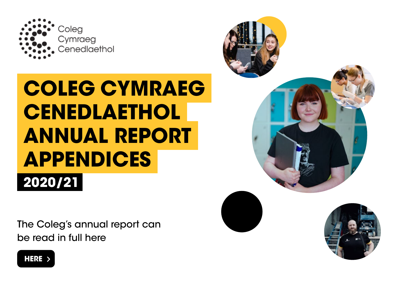

# **COLEG CYMRAEG CENEDLAETHOL ANNUAL REPORT APPENDICES 2020/21**

The Coleg's annual report can be read in full here



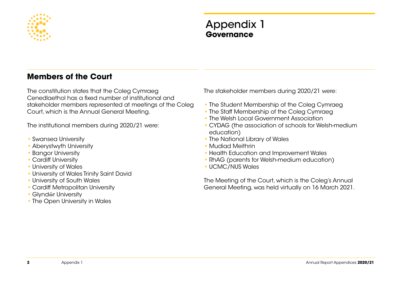

## Appendix 1 **Governance**

### **Members of the Court**

The constitution states that the Coleg Cymraeg Cenedlaethol has a fixed number of institutional and stakeholder members represented at meetings of the Coleg Court, which is the Annual General Meeting.

The institutional members during 2020/21 were:

- **•** Swansea University
- **•** Aberystwyth University
- **•** Bangor University
- **•** Cardiff University
- **•** University of Wales
- **•** University of Wales Trinity Saint David
- **•** University of South Wales
- **•** Cardiff Metropolitan University
- **•** Glyndŵr University
- **•** The Open University in Wales

The stakeholder members during 2020/21 were:

- **•** The Student Membership of the Coleg Cymraeg
- **•** The Staff Membership of the Coleg Cymraeg
- **•** The Welsh Local Government Association
- **•** CYDAG (the association of schools for Welsh-medium education)
- **•** The National Library of Wales
- **•** Mudiad Meithrin
- **•** Health Education and Improvement Wales
- **•** RhAG (parents for Welsh-medium education)
- **•** UCMC/NUS Wales

The Meeting of the Court, which is the Coleg's Annual General Meeting, was held virtually on 16 March 2021.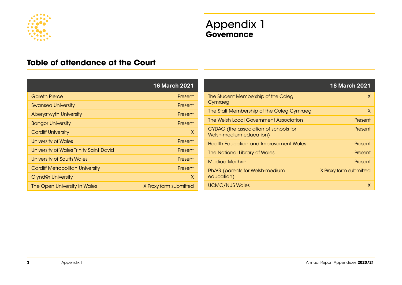

## Appendix 1 **Governance**

### **Table of attendance at the Court**

|                                         | <b>16 March 2021</b>   |
|-----------------------------------------|------------------------|
| <b>Gareth Pierce</b>                    | Present                |
| <b>Swansea University</b>               | Present                |
| Aberystwyth University                  | Present                |
| <b>Bangor University</b>                | Present                |
| <b>Cardiff University</b>               | X                      |
| <b>University of Wales</b>              | Present                |
| University of Wales Trinity Saint David | Present                |
| University of South Wales               | Present                |
| <b>Cardiff Metropolitan University</b>  | Present                |
| Glyndŵr University                      | X                      |
| The Open University in Wales            | X Proxy form submitted |

|                                                                  | <b>16 March 2021</b>   |
|------------------------------------------------------------------|------------------------|
| The Student Membership of the Coleg<br>Cymraeg                   | X                      |
| The Staff Membership of the Coleg Cymraeg                        | X                      |
| The Welsh Local Government Association                           | Present                |
| CYDAG (the association of schools for<br>Welsh-medium education) | Present                |
| <b>Health Education and Improvement Wales</b>                    | Present                |
| <b>The National Library of Wales</b>                             | Present                |
| <b>Mudiad Meithrin</b>                                           | Present                |
| RhAG (parents for Welsh-medium<br>education)                     | X Proxy form submitted |
| <b>UCMC/NUS Wales</b>                                            | X                      |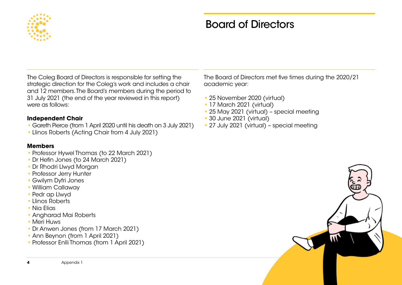

## Board of Directors

The Coleg Board of Directors is responsible for setting the strategic direction for the Coleg's work and includes a chair and 12 members. The Board's members during the period to 31 July 2021 (the end of the year reviewed in this report) were as follows:

#### **Independent Chair**

- **•** Gareth Pierce (from 1 April 2020 until his death on 3 July 2021)
- **•** Llinos Roberts (Acting Chair from 4 July 2021)

#### **Members**

- **•** Professor Hywel Thomas (to 22 March 2021)
- **•** Dr Hefin Jones (to 24 March 2021)
- **•** Dr Rhodri Llwyd Morgan
- **•** Professor Jerry Hunter
- **•** Gwilym Dyfri Jones
- **•** William Callaway
- **•** Pedr ap Llwyd
- **•** Llinos Roberts
- **•** Nia Elias
- **•** Angharad Mai Roberts
- **•** Meri Huws
- **•** Dr Anwen Jones (from 17 March 2021)
- **•** Ann Beynon (from 1 April 2021)
- **•** Professor Enlli Thomas (from 1 April 2021)

The Board of Directors met five times during the 2020/21 academic year:

- **•** 25 November 2020 (virtual)
- **•** 17 March 2021 (virtual)
- **•** 25 May 2021 (virtual) special meeting
- **•** 30 June 2021 (virtual)
- **•** 27 July 2021 (virtual) special meeting

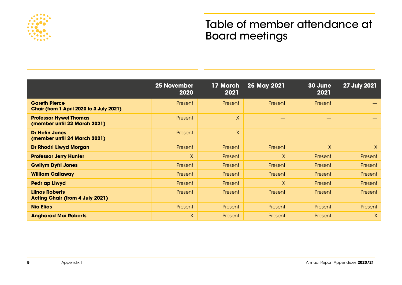

## Table of member attendance at Board meetings

|                                                                         | <b>25 November</b><br>2020 | 17 March<br>2021 | <b>25 May 2021</b> | 30 June<br>2021 | <b>27 July 2021</b> |
|-------------------------------------------------------------------------|----------------------------|------------------|--------------------|-----------------|---------------------|
| <b>Gareth Pierce</b><br><b>Chair (from 1 April 2020 to 3 July 2021)</b> | Present                    | Present          | Present            | Present         |                     |
| <b>Professor Hywel Thomas</b><br>(member until 22 March 2021)           | Present                    | $\sf X$          |                    |                 |                     |
| <b>Dr Hefin Jones</b><br>(member until 24 March 2021)                   | Present                    | $\sf X$          |                    |                 |                     |
| <b>Dr Rhodri Llwyd Morgan</b>                                           | Present                    | Present          | Present            | X               | $\mathsf{X}$        |
| <b>Professor Jerry Hunter</b>                                           | X                          | Present          | X                  | Present         | Present             |
| <b>Gwilym Dyfri Jones</b>                                               | Present                    | Present          | Present            | Present         | Present             |
| <b>William Callaway</b>                                                 | Present                    | Present          | Present            | Present         | Present             |
| <b>Pedr ap Llwyd</b>                                                    | Present                    | Present          | X                  | Present         | Present             |
| <b>Llinos Roberts</b><br><b>Acting Chair (from 4 July 2021)</b>         | Present                    | Present          | Present            | Present         | <b>Present</b>      |
| <b>Nia Elias</b>                                                        | Present                    | Present          | Present            | Present         | Present             |
| <b>Angharad Mai Roberts</b>                                             | $\sf X$                    | Present          | Present            | Present         | $\mathsf{X}$        |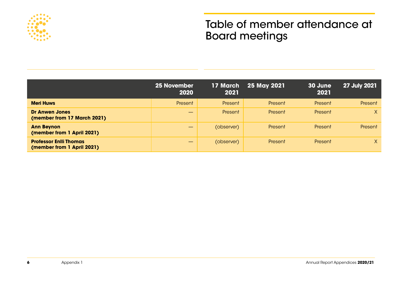

## Table of member attendance at Board meetings

|                                                             | <b>25 November</b><br>2020 | 17 March<br>2021 | <b>25 May 2021</b> | 30 June<br>2021 | <b>27 July 2021</b> |
|-------------------------------------------------------------|----------------------------|------------------|--------------------|-----------------|---------------------|
| <b>Meri Huws</b>                                            | Present                    | Present          | Present            | Present         | Present             |
| <b>Dr Anwen Jones</b><br>(member from 17 March 2021)        |                            | Present          | Present            | Present         | X                   |
| <b>Ann Beynon</b><br>(member from 1 April 2021)             |                            | (observer)       | Present            | Present         | Present             |
| <b>Professor Enlli Thomas</b><br>(member from 1 April 2021) |                            | (observer)       | Present            | Present         | X                   |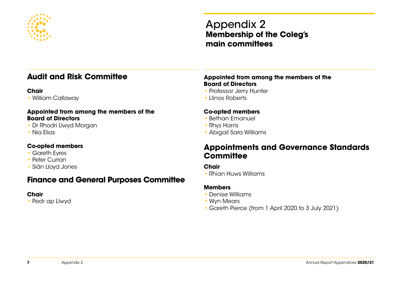

### **Audit and Risk Committee**

#### **Chair**

**•** William Callaway

#### **Appointed from among the members of the Board of Directors**

- **•** Dr Rhodri Llwyd Morgan
- **•** Nia Elias

#### **Co-opted members**

- **•** Gareth Eyres
- **•** Peter Curran
- **•** Siân Lloyd Jones

### **Finance and General Purposes Committee**

#### **Chair**

**•** Pedr ap Llwyd

#### **Appointed from among the members of the Board of Directors**

- **•** Professor Jerry Hunter
- **•** Llinos Roberts

#### **Co-opted members**

- **•** Bethan Emanuel
- **•** Rhys Harris
- **•** Abigail Sara Williams

### **Appointments and Governance Standards Committee**

#### **Chair**

**•** Rhian Huws Williams

#### **Members**

- **•** Denise Williams
- **•** Wyn Mears
- **•** Gareth Pierce (from 1 April 2020 to 3 July 2021)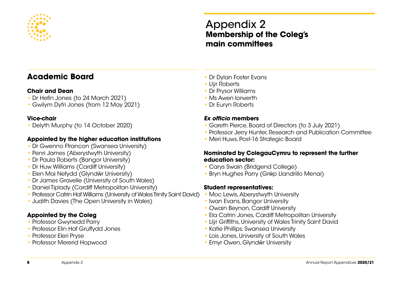

### **Academic Board**

#### **Chair and Dean**

- **•** Dr Hefin Jones (to 24 March 2021)
- **•** Gwilym Dyfri Jones (from 12 May 2021)

#### **Vice-chair**

**•** Delyth Murphy (to 14 October 2020)

#### **Appointed by the higher education institutions**

- **•** Dr Gwenno Ffrancon (Swansea University)
- **•** Penri James (Aberystwyth University)
- **•** Dr Paula Roberts (Bangor University)
- **•** Dr Huw Williams (Cardiff University)
- **•** Elen Mai Nefydd (Glyndŵr University)
- **•** Dr James Gravelle (University of South Wales)
- **•** Daniel Tiplady (Cardiff Metropolitan University)
- **•** Professor Catrin Haf Williams (University of Wales Trinity Saint David)
- **•** Judith Davies (The Open University in Wales)

#### **Appointed by the Coleg**

- **•** Professor Gwynedd Parry
- **•** Professor Elin Haf Gruffydd Jones
- **•** Professor Eleri Pryse
- **•** Professor Mererid Hopwood
- **•** Dr Dylan Foster Evans
- **•** Llŷr Roberts
- **•** Dr Prysor Williams
- **•** Ms Awen Iorwerth
- **•** Dr Euryn Roberts

#### *Ex officio* **members**

- **•** Gareth Pierce, Board of Directors (to 3 July 2021)
- **•** Professor Jerry Hunter, Research and Publication Committee
- **•** Meri Huws, Post-16 Strategic Board

#### **Nominated by ColegauCymru to represent the further education sector:**

- **•** Carys Swain (Bridgend College)
- **•** Bryn Hughes Parry (Grŵp Llandrillo Menai)

#### **Student representatives:**

- **•** Moc Lewis, Aberystwyth University
- **•** Iwan Evans, Bangor University
- **•** Owain Beynon, Cardiff University
- **•** Ela Catrin Jones, Cardiff Metropolitan University
- **•** Llŷr Griffiths, University of Wales Trinity Saint David
- **•** Katie Phillips, Swansea University
- **•** Lois Jones, University of South Wales
- **•** Emyr Owen, Glyndŵr University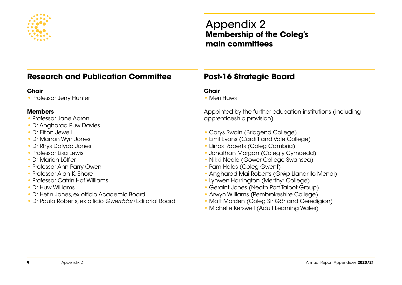

### **Research and Publication Committee**

#### **Chair**

**•** Professor Jerry Hunter

#### **Members**

- **•** Professor Jane Aaron
- **•** Dr Angharad Puw Davies
- **•** Dr Eifion Jewell
- **•** Dr Manon Wyn Jones
- **•** Dr Rhys Dafydd Jones
- **•** Professor Lisa Lewis
- **•** Dr Marion Löffler
- **•** Professor Ann Parry Owen
- **•** Professor Alan K. Shore
- **•** Professor Catrin Haf Williams
- **•** Dr Huw Williams
- **•** Dr Hefin Jones, ex officio Academic Board
- **•** Dr Paula Roberts, ex officio *Gwerddon* Editorial Board

### **Post-16 Strategic Board**

#### **Chair**

**•** Meri Huws

Appointed by the further education institutions (including apprenticeship provision)

- **•** Carys Swain (Bridgend College)
- **•** Emil Evans (Cardiff and Vale College)
- **•** Llinos Roberts (Coleg Cambria)
- **•** Jonathan Morgan (Coleg y Cymoedd)
- **•** Nikki Neale (Gower College Swansea)
- **•** Pam Hales (Coleg Gwent)
- **•** Angharad Mai Roberts (Grŵp Llandrillo Menai)
- **•** Lynwen Harrington (Merthyr College)
- **•** Geraint Jones (Neath Port Talbot Group)
- **•** Arwyn Williams (Pembrokeshire College)
- **•** Matt Morden (Coleg Sir Gâr and Ceredigion)
- **•** Michelle Kerswell (Adult Learning Wales)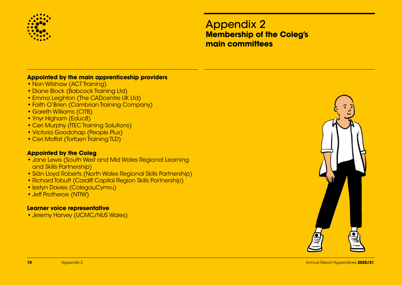

#### **Appointed by the main apprenticeship providers**

- Non Wilshaw (ACT Training)
- **•** Diane Block (Babcock Training Ltd)
- **•** Emma Leighton (The CADcentre UK Ltd)
- **•** Faith O'Brien (Cambrian Training Company)
- **•** Gareth Williams (CITB)
- **•** Ynyr Higham (Educ8)
- **•** Ceri Murphy (ITEC Training Solutions)
- **•** Victoria Goodchap (People Plus)
- **•** Ceri Moffat (Torfaen Training TLD)

#### **Appointed by the Coleg**

- **•** Jane Lewis (South West and Mid Wales Regional Learning and Skills Partnership)
- **•** Siân Lloyd Roberts (North Wales Regional Skills Partnership)
- **•** Richard Tobutt (Cardiff Capital Region Skills Partnership)
- **•** Iestyn Davies (ColegauCymru)
- **•** Jeff Protheroe (NTfW)

#### **Learner voice representative**

**•** Jeremy Harvey (UCMC/NUS Wales)

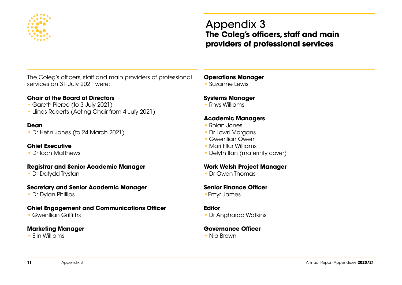

## Appendix 3 **The Coleg's officers, staff and main providers of professional services**

The Coleg's officers, staff and main providers of professional services on 31 July 2021 were:

#### **Chair of the Board of Directors**

- **•** Gareth Pierce (to 3 July 2021)
- **•** Llinos Roberts (Acting Chair from 4 July 2021)

#### **Dean**

**•** Dr Hefin Jones (to 24 March 2021)

#### **Chief Executive**

**•** Dr Ioan Matthews

#### **Registrar and Senior Academic Manager**

**•** Dr Dafydd Trystan

#### **Secretary and Senior Academic Manager**

**•** Dr Dylan Phillips

#### **Chief Engagement and Communications Officer**

**•** Gwenllian Griffiths

#### **Marketing Manager**

**•** Elin Williams

#### **Operations Manager**

**•** Suzanne Lewis

#### **Systems Manager**

**•** Rhys Williams

#### **Academic Managers**

- **•** Rhian Jones
- **•** Dr Lowri Morgans
- **•** Gwenllian Owen
- **•** Mari Fflur Williams
- **•** Delyth Ifan (maternity cover)

#### **Work Welsh Project Manager**

**•** Dr Owen Thomas

#### **Senior Finance Officer**

**•**Emyr James

#### **Editor**

**•** Dr Angharad Watkins

#### **Governance Officer**

**•** Nia Brown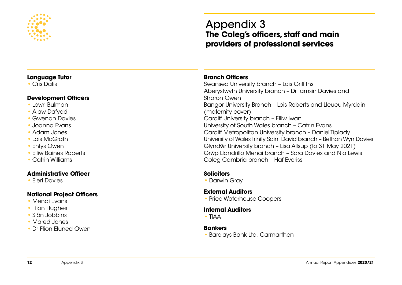

## Appendix 3 **The Coleg's officers, staff and main providers of professional services**

#### **Language Tutor**

**•** Cris Dafis

#### **Development Officers**

- **•** Lowri Bulman
- **•** Alaw Dafydd
- **•** Gwenan Davies
- **•** Joanna Evans
- **•** Adam Jones
- **•** Lois McGrath
- **•** Enfys Owen
- **•** Elliw Baines Roberts
- **•** Catrin Williams

#### **Administrative Officer**

**•** Eleri Davies

#### **National Project Officers**

- **•** Menai Evans
- **•** Ffion Hughes
- **•** Siôn Jobbins
- **•** Mared Jones
- **•** Dr Ffion Eluned Owen

#### **Branch Officers**

Swansea University branch – Lois Griffiths Aberystwyth University branch – Dr Tamsin Davies and Sharon Owen Bangor University Branch – Lois Roberts and Lleucu Myrddin (maternity cover) Cardiff University branch – Elliw Iwan University of South Wales branch – Catrin Evans Cardiff Metropolitan University branch – Daniel Tiplady University of Wales Trinity Saint David branch – Bethan Wyn Davies Glyndŵr University branch – Lisa Allsup (to 31 May 2021) Grŵp Llandrillo Menai branch – Sara Davies and Nia Lewis Coleg Cambria branch – Haf Everiss

#### **Solicitors**

**•** Darwin Gray

#### **External Auditors**

**•** Price Waterhouse Coopers

#### **Internal Auditors**

**•** TIAA

#### **Bankers**

**•** Barclays Bank Ltd, Carmarthen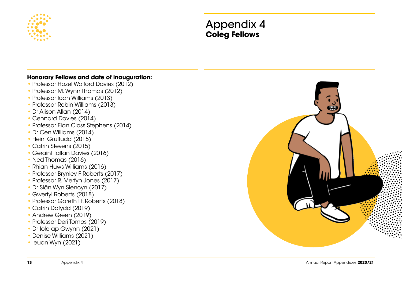

## Appendix 4 **Coleg Fellows**

#### **Honorary Fellows and date of inauguration:**

- **•** Professor Hazel Walford Davies (2012)
- **•** Professor M. Wynn Thomas (2012)
- **•** Professor Ioan Williams (2013)
- **•** Professor Robin Williams (2013)
- **•** Dr Alison Allan (2014)
- **•** Cennard Davies (2014)
- **•** Professor Elan Closs Stephens (2014)
- **•** Dr Cen Williams (2014)
- **•** Heini Gruffudd (2015)
- **•** Catrin Stevens (2015)
- **•** Geraint Talfan Davies (2016)
- **•** Ned Thomas (2016)
- **•** Rhian Huws Williams (2016)
- **•** Professor Brynley F. Roberts (2017)
- **•** Professor R. Merfyn Jones (2017)
- **•** Dr Siân Wyn Siencyn (2017)
- **•** Gwerfyl Roberts (2018)
- **•** Professor Gareth Ff. Roberts (2018)
- **•** Catrin Dafydd (2019)
- **•** Andrew Green (2019)
- **•** Professor Deri Tomos (2019)
- **•** Dr Iolo ap Gwynn (2021)
- **•** Denise Williams (2021)
- **•** Ieuan Wyn (2021)

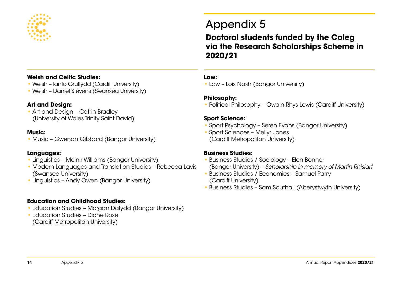

#### **Welsh and Celtic Studies:**

- **•** Welsh Ianto Gruffydd (Cardiff University)
- **•** Welsh Daniel Stevens (Swansea University)

#### **Art and Design:**

**•** Art and Design – Catrin Bradley (University of Wales Trinity Saint David)

#### **Music:**

**•** Music – Gwenan Gibbard (Bangor University)

#### **Languages:**

- **•** Linguistics Meinir Williams (Bangor University)
- **•** Modern Languages and Translation Studies Rebecca Lavis (Swansea University)
- **•** Linguistics Andy Owen (Bangor University)

#### **Education and Childhood Studies:**

- **•** Education Studies Morgan Dafydd (Bangor University)
- **•** Education Studies Dione Rose (Cardiff Metropolitan University)

## Appendix 5

### **Doctoral students funded by the Coleg via the Research Scholarships Scheme in 2020/21**

#### **Law:**

**•** Law – Lois Nash (Bangor University)

#### **Philosophy:**

**•** Political Philosophy – Owain Rhys Lewis (Cardiff University)

#### **Sport Science:**

- **•** Sport Psychology Seren Evans (Bangor University)
- **•** Sport Sciences Meilyr Jones (Cardiff Metropolitan University)

#### **Business Studies:**

- **•** Business Studies / Sociology Elen Bonner (Bangor University) – *Scholarship in memory of Martin Rhisiart*
- **•** Business Studies / Economics Samuel Parry (Cardiff University)
- **•** Business Studies Sam Southall (Aberystwyth University)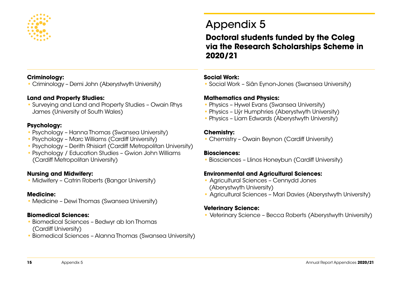

#### **Criminology:**

**•** Criminology – Demi John (Aberystwyth University)

#### **Land and Property Studies:**

**•** Surveying and Land and Property Studies – Owain Rhys James (University of South Wales)

#### **Psychology:**

- **•** Psychology Hanna Thomas (Swansea University)
- **•** Psychology Marc Williams (Cardiff University)
- **•** Psychology Derith Rhisiart (Cardiff Metropolitan University)
- **•** Psychology / Education Studies Gwion John Williams (Cardiff Metropolitan University)

#### **Nursing and Midwifery:**

**•** Midwifery – Catrin Roberts (Bangor University)

#### **Medicine:**

**•** Medicine – Dewi Thomas (Swansea University)

#### **Biomedical Sciences:**

- **•** Biomedical Sciences Bedwyr ab Ion Thomas (Cardiff University)
- **•** Biomedical Sciences Alanna Thomas (Swansea University)

## Appendix 5

### **Doctoral students funded by the Coleg via the Research Scholarships Scheme in 2020/21**

#### **Social Work:**

**•** Social Work – Siân Eynon-Jones (Swansea University)

#### **Mathematics and Physics:**

- **•** Physics Hywel Evans (Swansea University)
- **•** Physics Llŷr Humphries (Aberystwyth University)
- **•** Physics Liam Edwards (Aberystwyth University)

#### **Chemistry:**

**•** Chemistry – Owain Beynon (Cardiff University)

#### **Biosciences:**

**•** Biosciences – Llinos Honeybun (Cardiff University)

#### **Environmental and Agricultural Sciences:**

- Agricultural Sciences Cennydd Jones (Aberystwyth University)
- Agricultural Sciences Mari Davies (Aberystwyth University)

#### **Veterinary Science:**

**•** Veterinary Science – Becca Roberts (Aberystwyth University)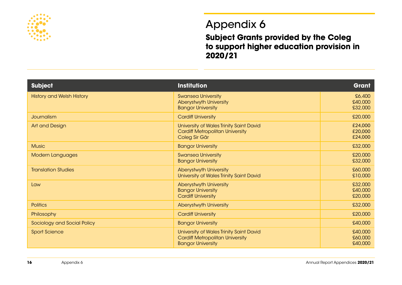

**Subject Grants provided by the Coleg to support higher education provision in 2020/21** 

| <b>Subject</b>                   | <b>Institution</b>                                                                                            | Grant                         |
|----------------------------------|---------------------------------------------------------------------------------------------------------------|-------------------------------|
| <b>History and Welsh History</b> | <b>Swansea University</b><br>Aberystwyth University<br><b>Bangor University</b>                               | £6,400<br>£40,000<br>£32,000  |
| Journalism                       | <b>Cardiff University</b>                                                                                     | £20,000                       |
| Art and Design                   | University of Wales Trinity Saint David<br><b>Cardiff Metropolitan University</b><br>Coleg Sir Gâr            | £24,000<br>£20,000<br>£24,000 |
| <b>Music</b>                     | <b>Bangor University</b>                                                                                      | £32,000                       |
| <b>Modern Languages</b>          | <b>Swansea University</b><br><b>Bangor University</b>                                                         | £20,000<br>£32,000            |
| <b>Translation Studies</b>       | Aberystwyth University<br>University of Wales Trinity Saint David                                             | £60,000<br>£10,000            |
| Law                              | Aberystwyth University<br><b>Bangor University</b><br><b>Cardiff University</b>                               | £32,000<br>£40,000<br>£20,000 |
| <b>Politics</b>                  | Aberystwyth University                                                                                        | £32,000                       |
| Philosophy                       | <b>Cardiff University</b>                                                                                     | £20,000                       |
| Sociology and Social Policy      | <b>Bangor University</b>                                                                                      | £40,000                       |
| <b>Sport Science</b>             | University of Wales Trinity Saint David<br><b>Cardiff Metropolitan University</b><br><b>Bangor University</b> | £40,000<br>£60,000<br>£40,000 |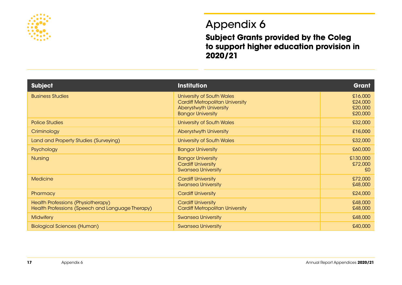

**Subject Grants provided by the Coleg to support higher education provision in 2020/21** 

| <b>Subject</b>                                                                         | <b>Institution</b>                                                                                                               | Grant                                    |
|----------------------------------------------------------------------------------------|----------------------------------------------------------------------------------------------------------------------------------|------------------------------------------|
| <b>Business Studies</b>                                                                | <b>University of South Wales</b><br><b>Cardiff Metropolitan University</b><br>Aberystwyth University<br><b>Bangor University</b> | £16,000<br>£24,000<br>£20,000<br>£20,000 |
| <b>Police Studies</b>                                                                  | <b>University of South Wales</b>                                                                                                 | £32,000                                  |
| Criminology                                                                            | Aberystwyth University                                                                                                           | £16,000                                  |
| Land and Property Studies (Surveying)                                                  | University of South Wales                                                                                                        | £32,000                                  |
| Psychology                                                                             | <b>Bangor University</b>                                                                                                         | £60,000                                  |
| <b>Nursing</b>                                                                         | <b>Bangor University</b><br><b>Cardiff University</b><br><b>Swansea University</b>                                               | £130,000<br>£72,000<br>£0                |
| <b>Medicine</b>                                                                        | <b>Cardiff University</b><br><b>Swansea University</b>                                                                           | £72,000<br>£48,000                       |
| Pharmacy                                                                               | <b>Cardiff University</b>                                                                                                        | £24,000                                  |
| Health Professions (Physiotherapy)<br>Health Professions (Speech and Language Therapy) | <b>Cardiff University</b><br><b>Cardiff Metropolitan University</b>                                                              | £48,000<br>£48,000                       |
| <b>Midwifery</b>                                                                       | <b>Swansea University</b>                                                                                                        | £48,000                                  |
| <b>Biological Sciences (Human)</b>                                                     | <b>Swansea University</b>                                                                                                        | £40,000                                  |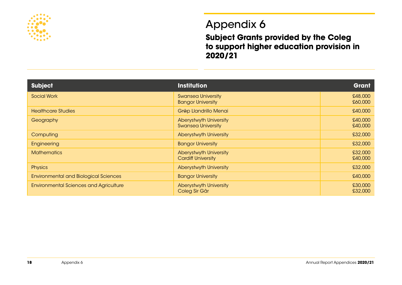

**Subject Grants provided by the Coleg to support higher education provision in 2020/21** 

| <b>Subject</b>                                | <b>Institution</b>                                         | Grant              |
|-----------------------------------------------|------------------------------------------------------------|--------------------|
| <b>Social Work</b>                            | <b>Swansea University</b><br><b>Bangor University</b>      | £48,000<br>£60,000 |
| <b>Healthcare Studies</b>                     | Grŵp Llandrillo Menai                                      | £40,000            |
| Geography                                     | Aberystwyth University<br><b>Swansea University</b>        | £40,000<br>£40,000 |
| Computing                                     | Aberystwyth University                                     | £32,000            |
| Engineering                                   | <b>Bangor University</b>                                   | £32,000            |
| <b>Mathematics</b>                            | <b>Aberystwyth University</b><br><b>Cardiff University</b> | £32,000<br>£40,000 |
| <b>Physics</b>                                | <b>Aberystwyth University</b>                              | £32,000            |
| <b>Environmental and Biological Sciences</b>  | <b>Bangor University</b>                                   | £40,000            |
| <b>Environmental Sciences and Agriculture</b> | Aberystwyth University<br>Coleg Sir Gâr                    | £30,000<br>£32,000 |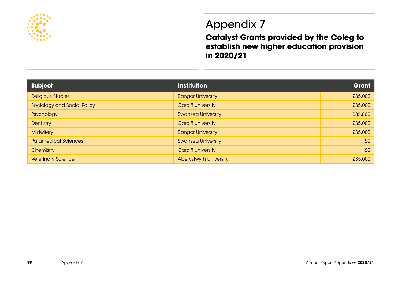

**Catalyst Grants provided by the Coleg to establish new higher education provision in 2020/21** 

| <b>Subject</b>              | <b>Institution</b>        | Grant   |
|-----------------------------|---------------------------|---------|
| <b>Religious Studies</b>    | <b>Bangor University</b>  | £35,000 |
| Sociology and Social Policy | <b>Cardiff University</b> | £35,000 |
| Psychology                  | <b>Swansea University</b> | £35,000 |
| <b>Dentistry</b>            | <b>Cardiff University</b> | £35,000 |
| <b>Midwifery</b>            | <b>Bangor University</b>  | £35,000 |
| <b>Paramedical Sciences</b> | <b>Swansea University</b> | £0      |
| Chemistry                   | <b>Cardiff University</b> | £0      |
| <b>Veterinary Science</b>   | Aberystwyth University    | £35,000 |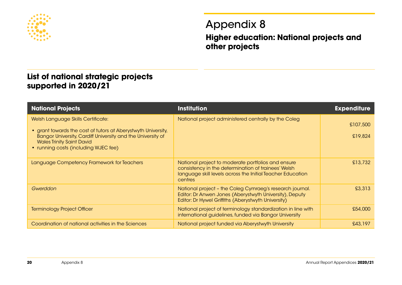

**Higher education: National projects and other projects**

### **List of national strategic projects supported in 2020/21**

| <b>National Projects</b>                                                                                                                                                                                                                              | <b>Institution</b>                                                                                                                                                                 | <b>Expenditure</b>  |
|-------------------------------------------------------------------------------------------------------------------------------------------------------------------------------------------------------------------------------------------------------|------------------------------------------------------------------------------------------------------------------------------------------------------------------------------------|---------------------|
| <b>Welsh Language Skills Certificate:</b><br>• grant towards the cost of tutors at Aberystwyth University,<br>Bangor University, Cardiff University and the University of<br><b>Wales Trinity Saint David</b><br>• running costs (including WJEC fee) | National project administered centrally by the Coleg                                                                                                                               | £107,500<br>£19,824 |
| Language Competency Framework for Teachers                                                                                                                                                                                                            | National project to moderate portfolios and ensure<br>consistency in the determination of trainees' Welsh<br>language skill levels across the Initial Teacher Education<br>centres | £13,732             |
| Gwerddon                                                                                                                                                                                                                                              | National project - the Coleg Cymraeg's research journal.<br>Editor: Dr Anwen Jones (Aberystwyth University), Deputy<br>Editor: Dr Hywel Griffiths (Aberystwyth University)         | £3,313              |
| <b>Terminology Project Officer</b>                                                                                                                                                                                                                    | National project of terminology standardization in line with<br>international guidelines, funded via Bangor University                                                             | £54,000             |
| Coordination of national activities in the Sciences                                                                                                                                                                                                   | National project funded via Aberystwyth University                                                                                                                                 | £43,197             |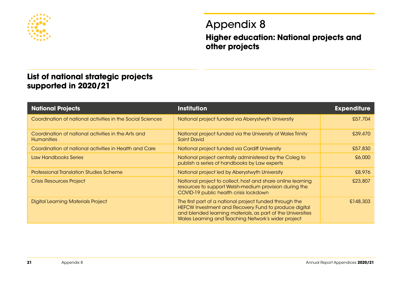

**Higher education: National projects and other projects**

### **List of national strategic projects supported in 2020/21**

| <b>National Projects</b>                                                 | <b>Institution</b>                                                                                                                                                                                                                     | <b>Expenditure</b> |
|--------------------------------------------------------------------------|----------------------------------------------------------------------------------------------------------------------------------------------------------------------------------------------------------------------------------------|--------------------|
| Coordination of national activities in the Social Sciences               | National project funded via Aberystwyth University                                                                                                                                                                                     | £57,704            |
| Coordination of national activities in the Arts and<br><b>Humanities</b> | National project funded via the University of Wales Trinity<br><b>Saint David</b>                                                                                                                                                      | £39,470            |
| Coordination of national activities in Health and Care                   | National project funded via Cardiff University                                                                                                                                                                                         | £57,830            |
| Law Handbooks Series                                                     | National project centrally administered by the Coleg to<br>publish a series of handbooks by Law experts                                                                                                                                | £6,000             |
| <b>Professional Translation Studies Scheme</b>                           | National project led by Aberystwyth University                                                                                                                                                                                         | £8,976             |
| <b>Crisis Resources Project</b>                                          | National project to collect, host and share online learning<br>resources to support Welsh-medium provision during the<br>COVID-19 public health crisis lockdown                                                                        | £23,807            |
| <b>Digital Learning Materials Project</b>                                | The first part of a national project funded through the<br>HEFCW Investment and Recovery Fund to produce digital<br>and blended learning materials, as part of the Universities<br>Wales Learning and Teaching Network's wider project | £148,303           |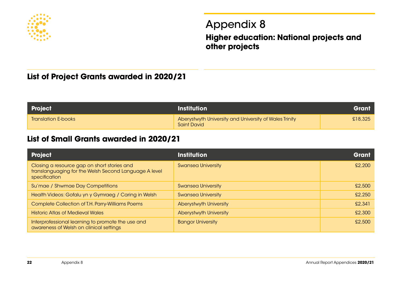

**Higher education: National projects and other projects**

### **List of Project Grants awarded in 2020/21**

| Project                    | <b>Institution</b>                                                           | Grant   |
|----------------------------|------------------------------------------------------------------------------|---------|
| <b>Translation E-books</b> | Aberystwyth University and University of Wales Trinity<br><b>Saint David</b> | £18,325 |

### **List of Small Grants awarded in 2020/21**

| <b>Project</b>                                                                                                        | <b>Institution</b>        | Grant  |
|-----------------------------------------------------------------------------------------------------------------------|---------------------------|--------|
| Closing a resource gap on short stories and<br>translanguaging for the Welsh Second Language A level<br>specification | <b>Swansea University</b> | £2,200 |
| Su'mae / Shwmae Day Competitions                                                                                      | <b>Swansea University</b> | £2,500 |
| Health Videos: Gofalu yn y Gymraeg / Caring in Welsh                                                                  | <b>Swansea University</b> | £2,250 |
| Complete Collection of T.H. Parry-Williams Poems                                                                      | Aberystwyth University    | £2,341 |
| <b>Historic Atlas of Medieval Wales</b>                                                                               | Aberystwyth University    | £2,300 |
| Interprofessional learning to promote the use and<br>awareness of Welsh on clinical settings                          | <b>Bangor University</b>  | £2,500 |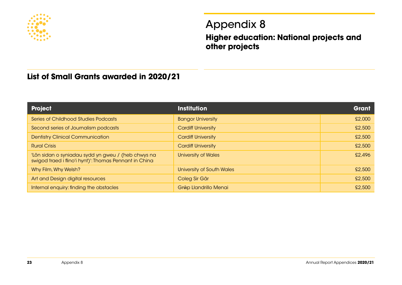

**Higher education: National projects and other projects**

### **List of Small Grants awarded in 2020/21**

| <b>Project</b>                                                                                               | <b>Institution</b>         | Grant  |
|--------------------------------------------------------------------------------------------------------------|----------------------------|--------|
| <b>Series of Childhood Studies Podcasts</b>                                                                  | <b>Bangor University</b>   | £2,000 |
| Second series of Journalism podcasts                                                                         | <b>Cardiff University</b>  | £2,500 |
| <b>Dentistry Clinical Communication</b>                                                                      | <b>Cardiff University</b>  | £2,500 |
| <b>Rural Crisis</b>                                                                                          | <b>Cardiff University</b>  | £2,500 |
| 'Lôn sidan o syniadau sydd yn gweu / (heb chwys na<br>swigod traed i flino'i hynt)': Thomas Pennant in China | <b>University of Wales</b> | £2,496 |
| Why Film, Why Welsh?                                                                                         | University of South Wales  | £2,500 |
| Art and Design digital resources                                                                             | Coleg Sir Gâr              | £2,500 |
| Internal enquiry: finding the obstacles                                                                      | Grŵp Llandrillo Menai      | £2,500 |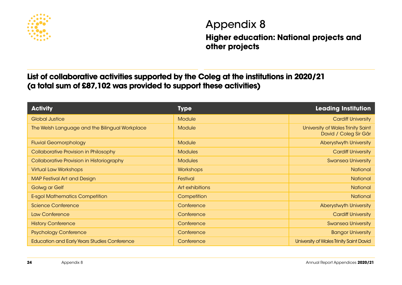

**Higher education: National projects and other projects**

**List of collaborative activities supported by the Coleg at the institutions in 2020/21 (a total sum of £87,102 was provided to support these activities)**

| <b>Activity</b>                                     | <b>Type</b>      | <b>Leading Institution</b>                                 |
|-----------------------------------------------------|------------------|------------------------------------------------------------|
| <b>Global Justice</b>                               | <b>Module</b>    | <b>Cardiff University</b>                                  |
| The Welsh Language and the Bilingual Workplace      | <b>Module</b>    | University of Wales Trinity Saint<br>David / Coleg Sir Gâr |
| <b>Fluvial Geomorphology</b>                        | <b>Module</b>    | Aberystwyth University                                     |
| <b>Collaborative Provision in Philosophy</b>        | <b>Modules</b>   | <b>Cardiff University</b>                                  |
| Collaborative Provision in Historiography           | <b>Modules</b>   | <b>Swansea University</b>                                  |
| <b>Virtual Law Workshops</b>                        | <b>Workshops</b> | National                                                   |
| <b>MAP Festival Art and Design</b>                  | Festival         | <b>National</b>                                            |
| Golwg ar Gelf                                       | Art exhibitions  | National                                                   |
| <b>E-sgol Mathematics Competition</b>               | Competition      | <b>National</b>                                            |
| <b>Science Conference</b>                           | Conference       | <b>Aberystwyth University</b>                              |
| <b>Law Conference</b>                               | Conference       | <b>Cardiff University</b>                                  |
| <b>History Conference</b>                           | Conference       | <b>Swansea University</b>                                  |
| <b>Psychology Conference</b>                        | Conference       | <b>Bangor University</b>                                   |
| <b>Education and Early Years Studies Conference</b> | Conference       | University of Wales Trinity Saint David                    |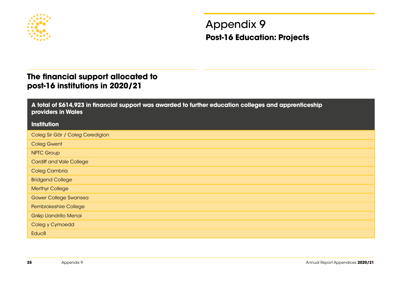

## Appendix 9 **Post-16 Education: Projects**

### **The financial support allocated to post-16 institutions in 2020/21**

**A total of £614,923 in financial support was awarded to further education colleges and apprenticeship providers in Wales**

#### **Institution**

| Coleg Sir Gâr / Coleg Ceredigion |
|----------------------------------|
| Coleg Gwent                      |
| <b>NPTC Group</b>                |
| <b>Cardiff and Vale College</b>  |
| <b>Coleg Cambria</b>             |
| <b>Bridgend College</b>          |
| <b>Merthyr College</b>           |
| <b>Gower College Swansea</b>     |
| Pembrokeshire College            |
| Grŵp Llandrillo Menai            |
| Coleg y Cymoedd                  |
| Educ <sub>8</sub>                |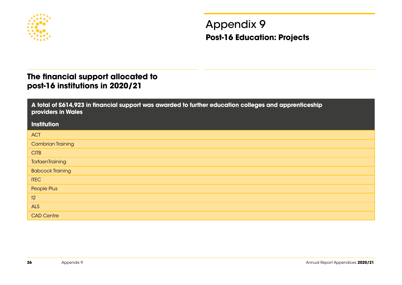

## Appendix 9 **Post-16 Education: Projects**

### **The financial support allocated to post-16 institutions in 2020/21**

**A total of £614,923 in financial support was awarded to further education colleges and apprenticeship providers in Wales**

#### **Institution**

| <b>ACT</b>               |  |
|--------------------------|--|
| <b>Cambrian Training</b> |  |
| <b>CITB</b>              |  |
| <b>TorfaenTraining</b>   |  |
| <b>Babcock Training</b>  |  |
| <b>ITEC</b>              |  |
| People Plus              |  |
| 12                       |  |
| <b>ALS</b>               |  |
| <b>CAD Centre</b>        |  |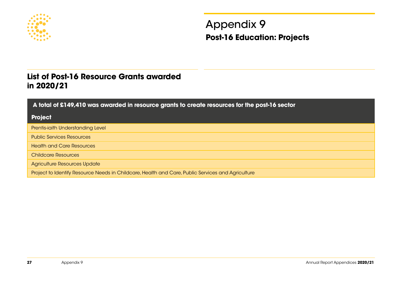

## Appendix 9 **Post-16 Education: Projects**

### **List of Post-16 Resource Grants awarded in 2020/21**

 **A total of £149,410 was awarded in resource grants to create resources for the post-16 sector**

#### **Project**

Prentis-iaith Understanding Level

Public Services Resources

Health and Care Resources

Childcare Resources

Agriculture Resources Update

Project to Identify Resource Needs in Childcare, Health and Care, Public Services and Agriculture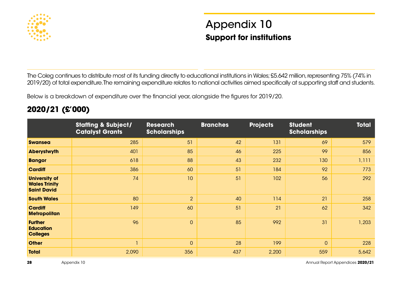

## Appendix 10 **Support for institutions**

The Coleg continues to distribute most of its funding directly to educational institutions in Wales; £5.642 million, representing 75% (74% in 2019/20) of total expenditure. The remaining expenditure relates to national activities aimed specifically at supporting staff and students.

Below is a breakdown of expenditure over the financial year, alongside the figures for 2019/20.

## **2020/21 (£'000)**

|                                                                    | <b>Staffing &amp; Subject/</b><br><b>Catalyst Grants</b> | <b>Research</b><br><b>Scholarships</b> | <b>Branches</b> | <b>Projects</b> | <b>Student</b><br><b>Scholarships</b> | <b>Total</b> |
|--------------------------------------------------------------------|----------------------------------------------------------|----------------------------------------|-----------------|-----------------|---------------------------------------|--------------|
| <b>Swansea</b>                                                     | 285                                                      | 51                                     | 42              | 131             | 69                                    | 579          |
| <b>Aberystwyth</b>                                                 | 401                                                      | 85                                     | 46              | 225             | 99                                    | 856          |
| <b>Bangor</b>                                                      | 618                                                      | 88                                     | 43              | 232             | 130                                   | 1,111        |
| <b>Cardiff</b>                                                     | 386                                                      | 60                                     | 51              | 184             | 92                                    | 773          |
| <b>University of</b><br><b>Wales Trinity</b><br><b>Saint David</b> | 74                                                       | 10                                     | 51              | 102             | 56                                    | 292          |
| <b>South Wales</b>                                                 | 80                                                       | $\overline{2}$                         | 40              | 114             | 21                                    | 258          |
| <b>Cardiff</b><br><b>Metropolitan</b>                              | 149                                                      | 60                                     | 51              | 21              | 62                                    | 342          |
| <b>Further</b><br><b>Education</b><br><b>Colleges</b>              | 96                                                       | $\overline{0}$                         | 85              | 992             | 31                                    | 1,203        |
| <b>Other</b>                                                       |                                                          | $\overline{O}$                         | 28              | 199             | $\overline{0}$                        | 228          |
| <b>Total</b>                                                       | 2,090                                                    | 356                                    | 437             | 2,200           | 559                                   | 5,642        |

Annual Report Appendices **2020/21**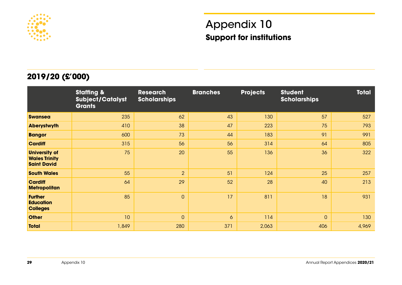

## Appendix 10 **Support for institutions**

### **2019/20 (£'000)**

|                                                                    | <b>Staffing &amp;</b><br><b>Subject/Catalyst</b><br><b>Grants</b> | <b>Research</b><br><b>Scholarships</b> | <b>Branches</b> | <b>Projects</b> | <b>Student</b><br><b>Scholarships</b> | <b>Total</b> |
|--------------------------------------------------------------------|-------------------------------------------------------------------|----------------------------------------|-----------------|-----------------|---------------------------------------|--------------|
| <b>Swansea</b>                                                     | 235                                                               | 62                                     | 43              | 130             | 57                                    | 527          |
| <b>Aberystwyth</b>                                                 | 410                                                               | 38                                     | 47              | 223             | 75                                    | 793          |
| <b>Bangor</b>                                                      | 600                                                               | 73                                     | 44              | 183             | 91                                    | 991          |
| <b>Cardiff</b>                                                     | 315                                                               | 56                                     | 56              | 314             | 64                                    | 805          |
| <b>University of</b><br><b>Wales Trinity</b><br><b>Saint David</b> | 75                                                                | 20                                     | 55              | 136             | 36                                    | 322          |
| <b>South Wales</b>                                                 | 55                                                                | $\overline{2}$                         | 51              | 124             | 25                                    | 257          |
| <b>Cardiff</b><br><b>Metropolitan</b>                              | 64                                                                | 29                                     | 52              | 28              | 40                                    | 213          |
| <b>Further</b><br><b>Education</b><br><b>Colleges</b>              | 85                                                                | $\overline{0}$                         | 17              | 811             | 18                                    | 931          |
| <b>Other</b>                                                       | 10                                                                | $\overline{O}$                         | $\sigma$        | 114             | $\overline{0}$                        | 130          |
| <b>Total</b>                                                       | 1,849                                                             | 280                                    | 371             | 2,063           | 406                                   | 4,969        |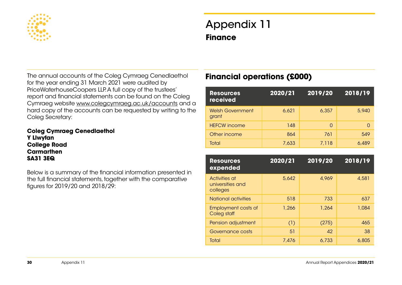

## Appendix 11 **Finance**

The annual accounts of the Coleg Cymraeg Cenedlaethol for the year ending 31 March 2021 were audited by PriceWaterhouseCoopers LLP. A full copy of the trustees' report and financial statements can be found on the Coleg Cymraeg website www.colegcymraeg.ac.uk/accounts and a hard copy of the accounts can be requested by writing to the Coleg Secretary:

**Coleg Cymraeg Cenedlaethol Y Llwyfan College Road Carmarthen SA31 3EQ**

Below is a summary of the financial information presented in the full financial statements, together with the comparative figures for 2019/20 and 2018/29:

### **Financial operations (£000)**

| <b>Resources</b><br>received     | 2020/21 | 2019/20 | 2018/19 |
|----------------------------------|---------|---------|---------|
| <b>Welsh Government</b><br>grant | 6.621   | 6.357   | 5,940   |
| <b>HEFCW</b> income              | 148     | 0       | n       |
| Other income                     | 864     | 761     | 549     |
| Total                            | 7,633   | 7,118   | 6.489   |

| <b>Resources</b><br>expended                  | 2020/21 | 2019/20 | 2018/19 |
|-----------------------------------------------|---------|---------|---------|
| Activities at<br>universities and<br>colleges | 5.642   | 4,969   | 4,581   |
| National activities                           | 518     | 733     | 637     |
| <b>Employment costs of</b><br>Coleg staff     | 1,266   | 1,264   | 1,084   |
| Pension adjustment                            | (1)     | (275)   | 465     |
| Governance costs                              | 51      | 42      | 38      |
| Total                                         | 7,476   | 6,733   | 6.805   |